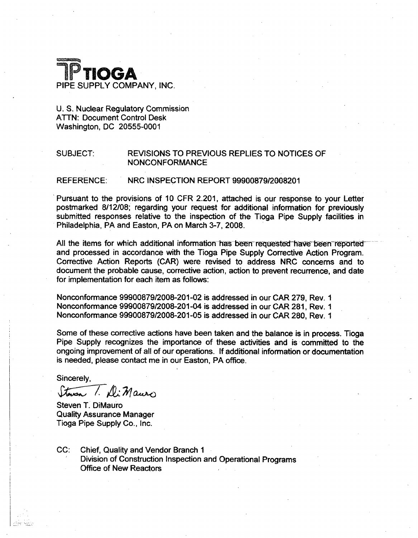

## U. S. Nuclear Regulatory Commission ATTN: Document Control Desk Washington, DC 20555-0001

## SUBJECT: REVISIONS TO PREVIOUS REPLIES TO NOTICES OF NONCONFORMANCE

### REFERENCE: NRC INSPECTION REPORT 99900879/2008201

Pursuant to the provisions of 10 CFR 2.201, attached is our response to your Letter postmarked 8/12/08; regarding your request for additional information for previously submitted responses relative to the inspection of the Tioga Pipe Supply facilities in Philadelphia, PA and Easton, PA on March 3-7, 2008.

All the items for which additional information has been requested have been reported and processed in accordance with the Tioga Pipe Supply Corrective Action Program. Corrective Action Reports (CAR) were revised to address NRC concerns and to document the probable cause, corrective action, action to prevent recurrence, and date for implementation for each item as follows:

Nonconformance 99900879/2008-201-02 is addressed in our CAR 279, Rev. **I** Nonconformance 99900879/2008-201-04 is addressed in our CAR 281, Rev. **I** Nonconformance 99900879/2008-201-05 is addressed in our CAR 280, Rev. **I**

Some of these corrective actions have been taken and the balance is in process. Tioga Pipe Supply recognizes the importance of these activities and is committed to the ongoing improvement of all of our operations. If additional information or documentation is needed, please contact me in our Easton, PA office.

Sincerely,

Steven 1. Di Mauro

Steven T. DiMauro Quality Assurance Manager Tioga Pipe Supply Co., Inc.

CC: Chief, Quality and Vendor Branch **I** Division of Construction Inspection and Operational Programs Office of New Reactors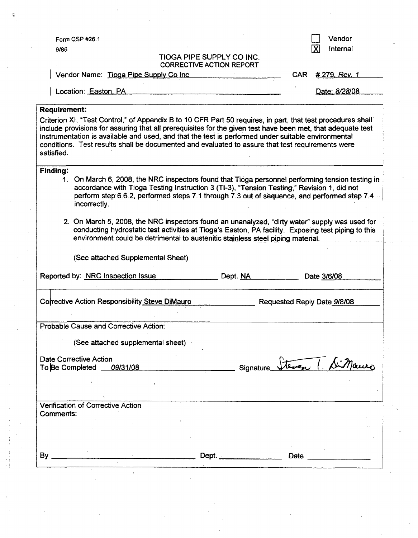| Form QSP #26.1                                                                                                                                                                                                                                                                                                                                                                                                                                     | Vendor                                |
|----------------------------------------------------------------------------------------------------------------------------------------------------------------------------------------------------------------------------------------------------------------------------------------------------------------------------------------------------------------------------------------------------------------------------------------------------|---------------------------------------|
| 9/85                                                                                                                                                                                                                                                                                                                                                                                                                                               | $\boldsymbol{\mathsf{X}}$<br>Internal |
| <b>TIOGA PIPE SUPPLY CO INC.</b><br><b>CORRECTIVE ACTION REPORT</b>                                                                                                                                                                                                                                                                                                                                                                                |                                       |
| Vendor Name: Tioga Pipe Supply Co Inc                                                                                                                                                                                                                                                                                                                                                                                                              | CAR.<br>#279, Rev. 1                  |
| Location: Easton, PA                                                                                                                                                                                                                                                                                                                                                                                                                               | Date: 8/28/08                         |
| <b>Requirement:</b>                                                                                                                                                                                                                                                                                                                                                                                                                                |                                       |
| Criterion XI, "Test Control," of Appendix B to 10 CFR Part 50 requires, in part, that test procedures shall<br>include provisions for assuring that all prerequisites for the given test have been met, that adequate test<br>instrumentation is available and used, and that the test is performed under suitable environmental<br>conditions. Test results shall be documented and evaluated to assure that test requirements were<br>satisfied. |                                       |
| <b>Finding:</b><br>On March 6, 2008, the NRC inspectors found that Tioga personnel performing tension testing in<br>ฯ.<br>accordance with Tioga Testing Instruction 3 (TI-3), "Tension Testing," Revision 1, did not<br>perform step 6.6.2, performed steps 7.1 through 7.3 out of sequence, and performed step 7.4                                                                                                                                |                                       |
| incorrectly.                                                                                                                                                                                                                                                                                                                                                                                                                                       |                                       |
| 2. On March 5, 2008, the NRC inspectors found an unanalyzed, "dirty water" supply was used for<br>conducting hydrostatic test activities at Tioga's Easton, PA facility. Exposing test piping to this<br>environment could be detrimental to austenitic stainless steel piping material.                                                                                                                                                           |                                       |
| (See attached Supplemental Sheet)                                                                                                                                                                                                                                                                                                                                                                                                                  |                                       |
| Dept. NA                                                                                                                                                                                                                                                                                                                                                                                                                                           | Date 3/6/08                           |
|                                                                                                                                                                                                                                                                                                                                                                                                                                                    | Requested Reply Date 9/8/08           |
|                                                                                                                                                                                                                                                                                                                                                                                                                                                    |                                       |
| (See attached supplemental sheet)                                                                                                                                                                                                                                                                                                                                                                                                                  |                                       |
|                                                                                                                                                                                                                                                                                                                                                                                                                                                    |                                       |
|                                                                                                                                                                                                                                                                                                                                                                                                                                                    | teven ( Simauro<br>Signature          |
|                                                                                                                                                                                                                                                                                                                                                                                                                                                    |                                       |
|                                                                                                                                                                                                                                                                                                                                                                                                                                                    |                                       |
|                                                                                                                                                                                                                                                                                                                                                                                                                                                    |                                       |
|                                                                                                                                                                                                                                                                                                                                                                                                                                                    |                                       |
|                                                                                                                                                                                                                                                                                                                                                                                                                                                    |                                       |
| Reported by: NRC Inspection Issue<br>Corrective Action Responsibility Steve DiMauro<br>Probable Cause and Corrective Action:<br><b>Date Corrective Action</b><br>To Be Completed 09/31/08<br><b>Verification of Corrective Action</b><br>Comments:<br>By                                                                                                                                                                                           | Date                                  |

 $\label{eq:2.1} \frac{d\mathbf{r}}{d\mathbf{r}} = \frac{1}{2} \left( \frac{d\mathbf{r}}{d\mathbf{r}} + \frac{d\mathbf{r}}{d\mathbf{r}} \right) \mathbf{r} \cdot \mathbf{r} \cdot \mathbf{r} \cdot \mathbf{r} \cdot \mathbf{r} \cdot \mathbf{r} \cdot \mathbf{r} \cdot \mathbf{r} \cdot \mathbf{r} \cdot \mathbf{r} \cdot \mathbf{r} \cdot \mathbf{r} \cdot \mathbf{r} \cdot \mathbf{r} \cdot \mathbf{r} \cdot \mathbf{r} \cdot \mathbf{r} \cdot \mathbf{r}$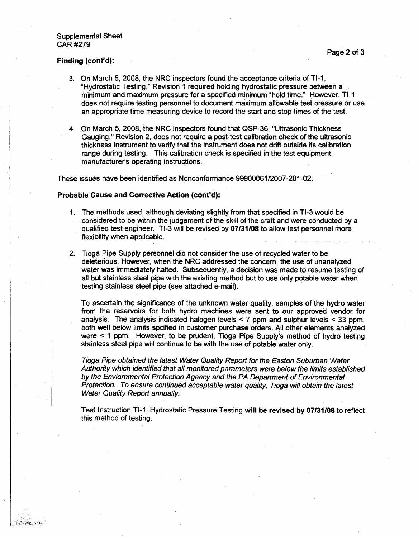### Supplemental Sheet CAR #279

### Finding (cont'd):

- 3. On March 5, 2008, the NRC inspectors found the acceptance criteria of TI-1, "Hydrostatic Testing," Revision 1 required holding hydrostatic pressure between a minimum and maximum pressure for a specified minimum 'hold time." However, TI-i does not require testing personnel to document maximum allowable test pressure or use an appropriate time measuring device to record the start and stop times of the test.
- 4. On March 5, 2008, the NRC inspectors found that QSP-36, "Ultrasonic Thickness Gauging," Revision 2, does not require a post-test calibration check of the ultrasonic thickness instrument to verify that the instrument does not drift outside its calibration range during testing. This calibration check is specified in the test equipment manufacturer's operating instructions.

These issues have been identified as Nonconformance 99900061/2007-201-02.

### Probable Cause and Corrective Action (cont'd):

- 1. The methods used, although deviating slightly from that specified in TI-3 would be considered to be within the judgement of the skill of the craft and were conducted by a qualified test engineer. TI-3 will be revised by 07131108 to allow test personnel more flexibility when applicable.
- 2. Tioga Pipe Supply personnel did not consider the use of recycled water to be deleterious. However, when the NRC addressed the concern, the use of unanalyzed water was immediately halted. Subsequently, a decision was made to resume testing of all but stainless steel pipe with the existing method but to use only potable water when testing stainless steel pipe (see attached e-mail).

To ascertain the significance of the unknown water quality, samples of the hydro water from the reservoirs for both hydro machines were sent to our approved vendor for analysis. The analysis indicated halogen levels < 7 ppm and sulphur levels < 33 ppm, both well below limits spcified in customer purchase orders. All other elements analyzed were < 1 ppm. However, to be prudent, Tioga Pipe Supply's method of hydro testing stainless steel pipe will continue to be with the use of potable water only.

*Tioga Pipe obtained the latest Water Quality Report for the Easton Suburban Water Authority which identified that all monitored parameters were below the limits established by the Enviommental Protection Agency and the PA Department of Environmental Protection. To ensure continued acceptable water quality, Tioga will obtain the latest Water Quality Report annually.*

Test Instruction TI-1, Hydrostatic Pressure Testing will be revised by 07/31/08 to reflect this method of testing.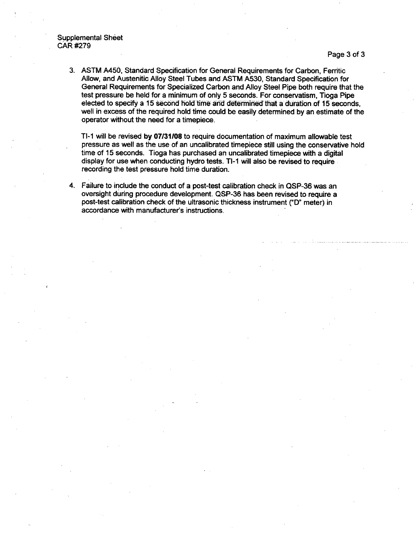3. ASTM A450, Standard Specification for General Requirements for Carbon, Ferritic Allow, and Austenitic Alloy Steel Tubes and ASTM A530, Standard Specification for General Requirements for Specialized Carbon and Alloy Steel Pipe both require that the test pressure be held for a minimum of only 5 seconds. For conservatism, Tioga Pipe elected to specify a **15** second hold time arid detemired that a duration of 15 seconds, well in excess of the required hold time could be easily determined by an estimate of the operator without the need for a timepiece.

TI-1 will be revised by 07131108 to require documentation of maximum allowable test pressure as well as the use of an uncalibrated timepiece still using the conservative hold time of 15 seconds. Tioga has purchased an uncalibrated timepiece with a digital display for use when conducting hydro tests. TI-1 will also be revised to require recording the test pressure hold time duration.

4. Failure to include the conduct of a post-test calibration check in QSP-36 was an oversight during procedure development. QSP-36 has been revised to require a post-test calibration check of the ultrasonic thickness instrument ("D" meter) in accordance with manufacturer's instructions.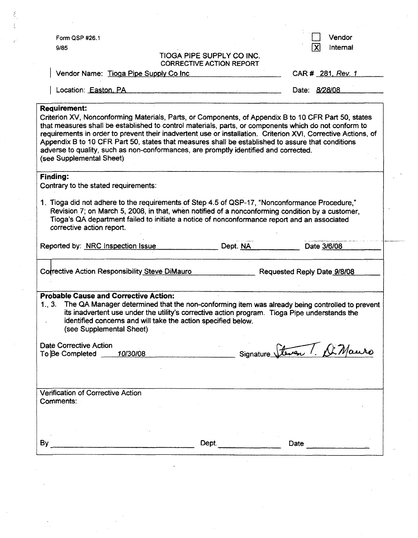|                                                                                                                                                                                                                                                                                                                                                                                                                                                                                                                                                                                |                                                               |                                                                                                                                                                                                  |                             | Vendor   |
|--------------------------------------------------------------------------------------------------------------------------------------------------------------------------------------------------------------------------------------------------------------------------------------------------------------------------------------------------------------------------------------------------------------------------------------------------------------------------------------------------------------------------------------------------------------------------------|---------------------------------------------------------------|--------------------------------------------------------------------------------------------------------------------------------------------------------------------------------------------------|-----------------------------|----------|
| Form QSP #26.1<br>9/85                                                                                                                                                                                                                                                                                                                                                                                                                                                                                                                                                         |                                                               |                                                                                                                                                                                                  |                             | Internal |
|                                                                                                                                                                                                                                                                                                                                                                                                                                                                                                                                                                                |                                                               | <b>TIOGA PIPE SUPPLY CO INC.</b><br><b>CORRECTIVE ACTION REPORT</b>                                                                                                                              |                             |          |
| Vendor Name: Tioga Pipe Supply Co Inc.                                                                                                                                                                                                                                                                                                                                                                                                                                                                                                                                         |                                                               |                                                                                                                                                                                                  | CAR # 281, Rev. 1           |          |
| Location: Easton, PA                                                                                                                                                                                                                                                                                                                                                                                                                                                                                                                                                           |                                                               |                                                                                                                                                                                                  | Date: 8/28/08               |          |
| <b>Requirement:</b><br>Criterion XV, Nonconforming Materials, Parts, or Components, of Appendix B to 10 CFR Part 50, states<br>that measures shall be established to control materials, parts, or components which do not conform to<br>requirements in order to prevent their inadvertent use or installation. Criterion XVI, Corrective Actions, of<br>Appendix B to 10 CFR Part 50, states that measures shall be established to assure that conditions<br>adverse to quality, such as non-conformances, are promptly identified and corrected.<br>(see Supplemental Sheet) |                                                               |                                                                                                                                                                                                  |                             |          |
| <b>Finding:</b>                                                                                                                                                                                                                                                                                                                                                                                                                                                                                                                                                                |                                                               |                                                                                                                                                                                                  |                             |          |
| Contrary to the stated requirements:                                                                                                                                                                                                                                                                                                                                                                                                                                                                                                                                           |                                                               |                                                                                                                                                                                                  |                             |          |
| 1. Tioga did not adhere to the requirements of Step 4.5 of QSP-17, "Nonconformance Procedure,"<br>corrective action report.                                                                                                                                                                                                                                                                                                                                                                                                                                                    |                                                               | Revision 7; on March 5, 2008, in that, when notified of a nonconforming condition by a customer,<br>Tioga's QA department failed to initiate a notice of nonconformance report and an associated |                             |          |
| Reported by: NRC Inspection Issue                                                                                                                                                                                                                                                                                                                                                                                                                                                                                                                                              |                                                               | Dept. NA                                                                                                                                                                                         | Date 3/6/08                 |          |
| Corrective Action Responsibility Steve DiMauro                                                                                                                                                                                                                                                                                                                                                                                                                                                                                                                                 |                                                               |                                                                                                                                                                                                  | Requested Reply Date 9/8/08 |          |
| <b>Probable Cause and Corrective Action:</b><br>1., 3. The QA Manager determined that the non-conforming item was already being controlled to prevent<br>(see Supplemental Sheet)<br>Date Corrective Action                                                                                                                                                                                                                                                                                                                                                                    | identified concerns and will take the action specified below. | its inadvertent use under the utility's corrective action program. Tioga Pipe understands the                                                                                                    |                             |          |
| To Be Completed 10/30/08                                                                                                                                                                                                                                                                                                                                                                                                                                                                                                                                                       |                                                               |                                                                                                                                                                                                  | teven ! De                  |          |
|                                                                                                                                                                                                                                                                                                                                                                                                                                                                                                                                                                                |                                                               |                                                                                                                                                                                                  |                             |          |
| Verification of Corrective Action                                                                                                                                                                                                                                                                                                                                                                                                                                                                                                                                              |                                                               |                                                                                                                                                                                                  |                             |          |
| Comments:                                                                                                                                                                                                                                                                                                                                                                                                                                                                                                                                                                      |                                                               |                                                                                                                                                                                                  |                             |          |
|                                                                                                                                                                                                                                                                                                                                                                                                                                                                                                                                                                                |                                                               |                                                                                                                                                                                                  |                             |          |
|                                                                                                                                                                                                                                                                                                                                                                                                                                                                                                                                                                                |                                                               | Dept.                                                                                                                                                                                            | Date                        |          |
|                                                                                                                                                                                                                                                                                                                                                                                                                                                                                                                                                                                |                                                               |                                                                                                                                                                                                  |                             |          |
|                                                                                                                                                                                                                                                                                                                                                                                                                                                                                                                                                                                |                                                               |                                                                                                                                                                                                  |                             |          |
|                                                                                                                                                                                                                                                                                                                                                                                                                                                                                                                                                                                |                                                               |                                                                                                                                                                                                  |                             |          |
|                                                                                                                                                                                                                                                                                                                                                                                                                                                                                                                                                                                |                                                               |                                                                                                                                                                                                  |                             |          |

 $\label{eq:2.1} \begin{split} \mathcal{L}_{\text{max}}(\mathbf{r}) = \frac{1}{2} \sum_{i=1}^{N_{\text{max}}} \mathcal{L}_{\text{max}}(\mathbf{r}) \\ \mathcal{L}_{\text{max}}(\mathbf{r}) = \frac{1}{2} \sum_{i=1}^{N_{\text{max}}} \mathcal{L}_{\text{max}}(\mathbf{r}) \\ \mathcal{L}_{\text{max}}(\mathbf{r}) = \frac{1}{2} \sum_{i=1}^{N_{\text{max}}} \mathcal{L}_{\text{max}}(\mathbf{r}) \\ \mathcal{L}_{\text{max}}(\mathbf{r}) = \frac{1}{2} \sum_{i=1}$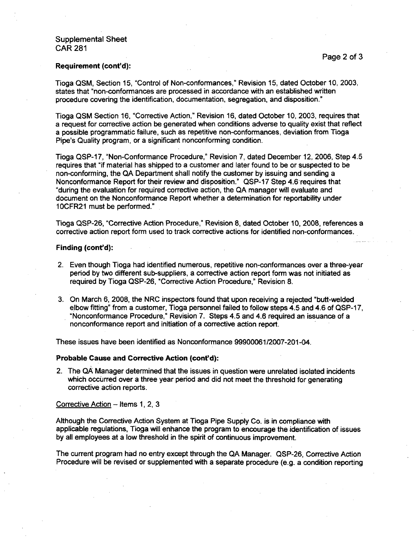### Supplemental Sheet CAR 281

#### Requirement (cont'd):

Tioga QSM, Section 15, "Control of Non-conformances," Revision 15, dated October 10, 2003, states that "non-conformances are processed in accordance with an established written procedure covering the identification, documentation, segregation, and disposition."

Tioga QSM Section 16, "Corrective Action," Revision 16, dated October 10,. 2003, requires that a request for corrective action be generated when conditions adverse to quality exist that reflect a possible programmatic failure, such as repetitive non-conformances, deviation from Tioga Pipe's Quality program, or a significant nonconforming condition.

Tioga QSP-17, "Non-Conformance Procedure," Revision 7, dated December 12, 2006, Step 4.5 requires that "if material has shipped to a customer and later found to be or suspected to be non-conforming, the QA Department shall notify the customer by issuing and sending a Nonconformance Report for their review and disposition." QSP-17 Step 4.6requires that "during the evaluation for required corrective action, the QA manager will evaluate and document on the Nonconformance Report whether a determination for reportability under 1OCFR21 must be performed." **.**

Tioga QSP-26, "Corrective Action Procedure," Revision 8, dated October 10, 2008, references a corrective action report form used to track corrective actions for identified non-conformances.

#### Finding (cont'd):

- 2. Even though Tioga had identified numerous, repetitive non-conformances over a three-year period by two different sub-suppliers, a corrective action report form was not initiated as required by Tioga QSP-26, "Corrective Action Procedure," Revision 8.
- 3. On March 6, 2008, the.NRC inspectors found that upon receiving a rejected "butt-welded elbow fitting" from a customer, Tioga personnel failed to follow steps 4.5 and 4.6 of QSP-17, "Nonconformance Procedure," Revision 7. Steps 4.5 and 4.6 required an issuance of a nonconformance report and initiation of a corrective action report.

These issues have been identified as Nonconformance 99900061/2007-201-04.

### Probable Cause and Corrective Action (cont'd):

2. The QA Manager determined that the issues in question were unrelated isolated incidents which occurred over a three year period and did not meet the threshold for generating corrective action reports.

### Corrective Action  $-$  Items 1, 2, 3

Although the Corrective Action System at Tioga Pipe Supply Co. is in compliance with applicable regulations, Tioga will enhance the program to encourage the identification of issues by all employees at a low threshold in the spirit of continuous improvement.

The current program had no entry except through the QA Manager. QSP-26, Corrective Action Procedure will be revised or supplemented with a separate procedure (e.g. a condition reporting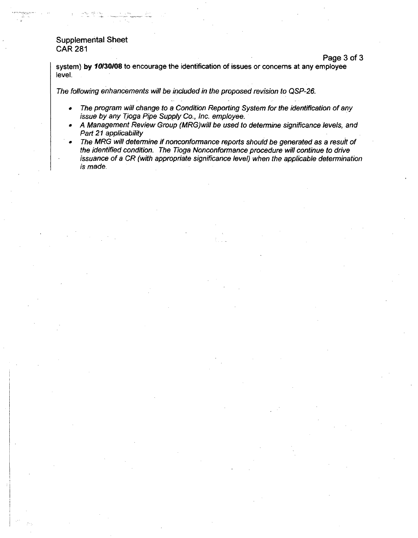# Supplemental Sheet CAR 281

system) by **10130/08** to encourage the identification of issues or concerns at any employee level.

Page 3 of 3

*The following enhancements will be included in the proposed revision to QSP-26.*

- **"** *The program will change to a Condition Reporting System for the identification of any issue by any Tioga Pipe Supply Co., Inc. employee.*
- o *A Management Review Group (MRG)will be used to determine significance levels, and Part 21 applicability*
- **0** *The MRG will determine* if *nonconformance reports should be generated as a result of the identified condition. The Tioga Nonconformance procedure will continue to drive issuance of a CR (with appropriate significance level) when the applicable determination is made.*